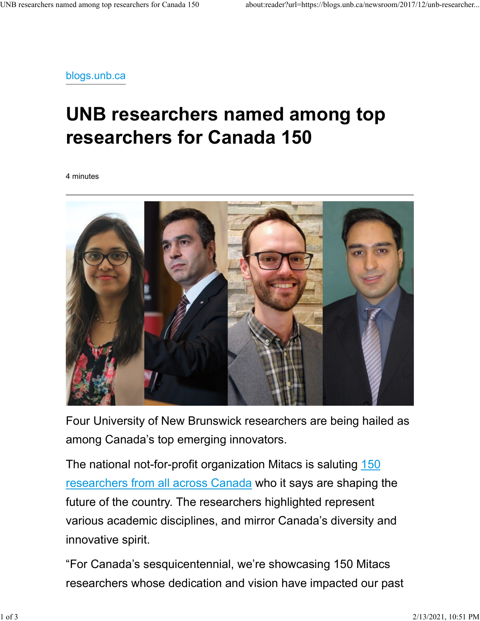blogs.unb.ca

## UNB researchers named among top researchers for Canada 150

4 minutes



Four University of New Brunswick researchers are being hailed as among Canada's top emerging innovators.

The national not-for-profit organization Mitacs is saluting 150 researchers from all across Canada who it says are shaping the future of the country. The researchers highlighted represent various academic disciplines, and mirror Canada's diversity and innovative spirit.

"For Canada's sesquicentennial, we're showcasing 150 Mitacs researchers whose dedication and vision have impacted our past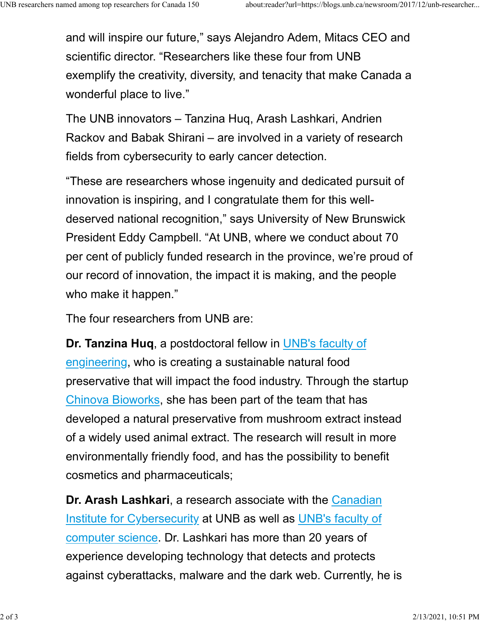and will inspire our future," says Alejandro Adem, Mitacs CEO and scientific director. "Researchers like these four from UNB exemplify the creativity, diversity, and tenacity that make Canada a wonderful place to live." UNB researchers named among top researchers for Canada 150 about:reader?url=https://blogs.unb.ca/newsroom/2017/12/unb-researcher...<br>and will inspire our future," says Alejandro Adem, Mitacs CEO and<br>scientific director. "Be

> The UNB innovators – Tanzina Huq, Arash Lashkari, Andrien Rackov and Babak Shirani – are involved in a variety of research fields from cybersecurity to early cancer detection.

"These are researchers whose ingenuity and dedicated pursuit of innovation is inspiring, and I congratulate them for this welldeserved national recognition," says University of New Brunswick President Eddy Campbell. "At UNB, where we conduct about 70 per cent of publicly funded research in the province, we're proud of our record of innovation, the impact it is making, and the people who make it happen."

The four researchers from UNB are:

Dr. Tanzina Huq, a postdoctoral fellow in UNB's faculty of engineering, who is creating a sustainable natural food preservative that will impact the food industry. Through the startup Chinova Bioworks, she has been part of the team that has developed a natural preservative from mushroom extract instead of a widely used animal extract. The research will result in more environmentally friendly food, and has the possibility to benefit cosmetics and pharmaceuticals;

Dr. Arash Lashkari, a research associate with the Canadian Institute for Cybersecurity at UNB as well as UNB's faculty of computer science. Dr. Lashkari has more than 20 years of experience developing technology that detects and protects against cyberattacks, malware and the dark web. Currently, he is